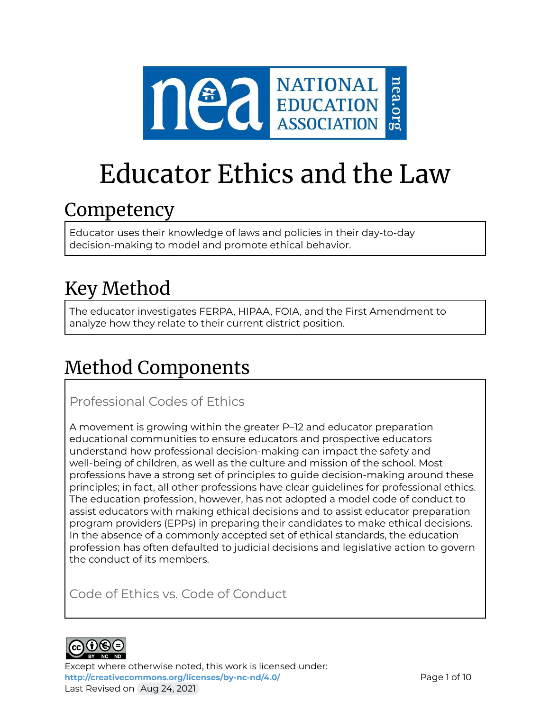

# Educator Ethics and the Law

### Competency

Educator uses their knowledge of laws and policies in their day-to-day decision-making to model and promote ethical behavior.

# Key Method

The educator investigates FERPA, HIPAA, FOIA, and the First Amendment to analyze how they relate to their current district position.

# Method Components

Professional Codes of Ethics

A movement is growing within the greater P–12 and educator preparation educational communities to ensure educators and prospective educators understand how professional decision-making can impact the safety and well-being of children, as well as the culture and mission of the school. Most professions have a strong set of principles to guide decision-making around these principles; in fact, all other professions have clear guidelines for professional ethics. The education profession, however, has not adopted a model code of conduct to assist educators with making ethical decisions and to assist educator preparation program providers (EPPs) in preparing their candidates to make ethical decisions. In the absence of a commonly accepted set of ethical standards, the education profession has often defaulted to judicial decisions and legislative action to govern the conduct of its members.

Code of Ethics vs. Code of Conduct



Except where otherwise noted, this work is licensed under: <http://creativecommons.org/licenses/by-nc-nd/4.0/> **Page 1 of 10** Last Revised on Aug 24, 2021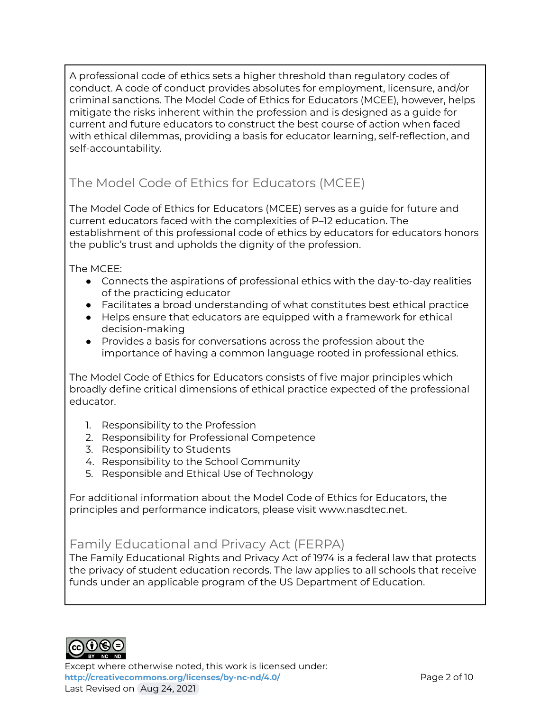A professional code of ethics sets a higher threshold than regulatory codes of conduct. A code of conduct provides absolutes for employment, licensure, and/or criminal sanctions. The Model Code of Ethics for Educators (MCEE), however, helps mitigate the risks inherent within the profession and is designed as a guide for current and future educators to construct the best course of action when faced with ethical dilemmas, providing a basis for educator learning, self-reflection, and self-accountability.

### The Model Code of Ethics for Educators (MCEE)

The Model Code of Ethics for Educators (MCEE) serves as a guide for future and current educators faced with the complexities of P–12 education. The establishment of this professional code of ethics by educators for educators honors the public's trust and upholds the dignity of the profession.

The MCEE:

- Connects the aspirations of professional ethics with the day-to-day realities of the practicing educator
- Facilitates a broad understanding of what constitutes best ethical practice
- Helps ensure that educators are equipped with a framework for ethical decision-making
- Provides a basis for conversations across the profession about the importance of having a common language rooted in professional ethics.

The Model Code of Ethics for Educators consists of five major principles which broadly define critical dimensions of ethical practice expected of the professional educator.

- 1. Responsibility to the Profession
- 2. Responsibility for Professional Competence
- 3. Responsibility to Students
- 4. Responsibility to the School Community
- 5. Responsible and Ethical Use of Technology

For additional information about the Model Code of Ethics for Educators, the principles and performance indicators, please visit www.nasdtec.net.

### Family Educational and Privacy Act (FERPA)

The Family Educational Rights and Privacy Act of 1974 is a federal law that protects the privacy of student education records. The law applies to all schools that receive funds under an applicable program of the US Department of Education.



Except where otherwise noted, this work is licensed under: **<http://creativecommons.org/licenses/by-nc-nd/4.0/>** Page 2 of 10 Last Revised on Aug 24, 2021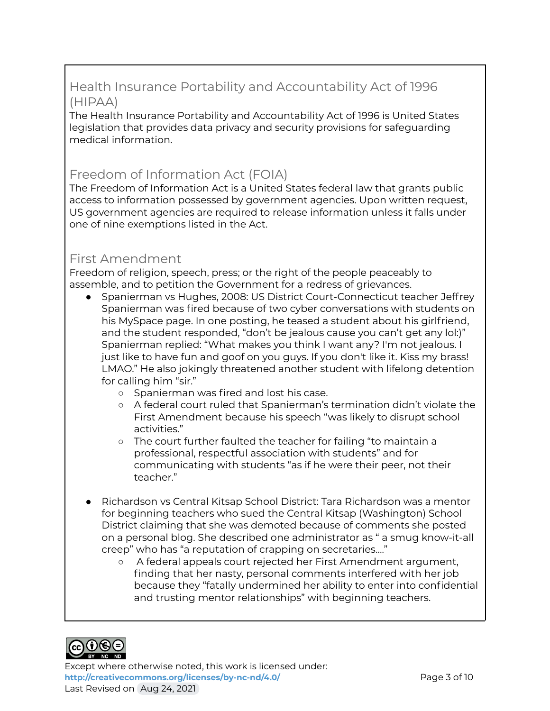### Health Insurance Portability and Accountability Act of 1996 (HIPAA)

The Health Insurance Portability and Accountability Act of 1996 is United States legislation that provides data privacy and security provisions for safeguarding medical information.

### Freedom of Information Act (FOIA)

The Freedom of Information Act is a United States federal law that grants public access to information possessed by government agencies. Upon written request, US government agencies are required to release information unless it falls under one of nine exemptions listed in the Act.

### First Amendment

Freedom of religion, speech, press; or the right of the people peaceably to assemble, and to petition the Government for a redress of grievances.

- Spanierman vs Hughes, 2008: US District Court-Connecticut teacher Jeffrey Spanierman was fired because of two cyber conversations with students on his MySpace page. In one posting, he teased a student about his girlfriend, and the student responded, "don't be jealous cause you can't get any lol:)" Spanierman replied: "What makes you think I want any? I'm not jealous. I just like to have fun and goof on you guys. If you don't like it. Kiss my brass! LMAO." He also jokingly threatened another student with lifelong detention for calling him "sir."
	- Spanierman was fired and lost his case.
	- A federal court ruled that Spanierman's termination didn't violate the First Amendment because his speech "was likely to disrupt school activities."
	- The court further faulted the teacher for failing "to maintain a professional, respectful association with students" and for communicating with students "as if he were their peer, not their teacher."
- Richardson vs Central Kitsap School District: Tara Richardson was a mentor for beginning teachers who sued the Central Kitsap (Washington) School District claiming that she was demoted because of comments she posted on a personal blog. She described one administrator as " a smug know-it-all creep" who has "a reputation of crapping on secretaries…."
	- A federal appeals court rejected her First Amendment argument, finding that her nasty, personal comments interfered with her job because they "fatally undermined her ability to enter into confidential and trusting mentor relationships" with beginning teachers.



Except where otherwise noted, this work is licensed under: **<http://creativecommons.org/licenses/by-nc-nd/4.0/>** Page 3 of 10 Last Revised on Aug 24, 2021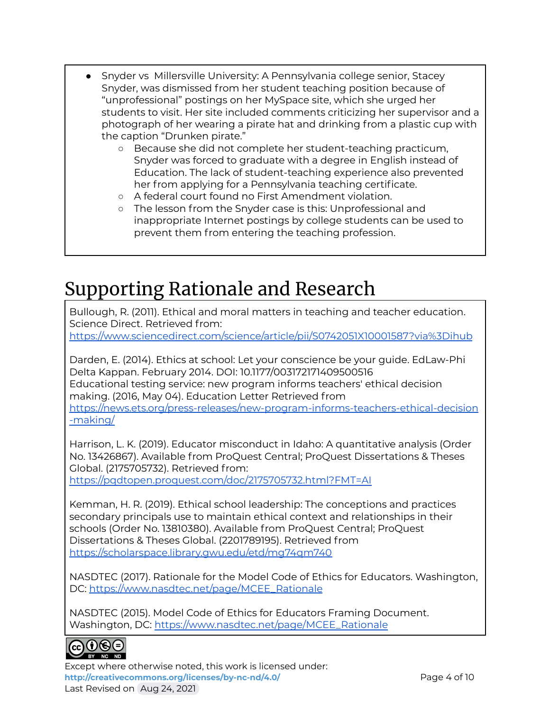- Snyder vs Millersville University: A Pennsylvania college senior, Stacey Snyder, was dismissed from her student teaching position because of "unprofessional" postings on her MySpace site, which she urged her students to visit. Her site included comments criticizing her supervisor and a photograph of her wearing a pirate hat and drinking from a plastic cup with the caption "Drunken pirate."
	- Because she did not complete her student-teaching practicum, Snyder was forced to graduate with a degree in English instead of Education. The lack of student-teaching experience also prevented her from applying for a Pennsylvania teaching certificate.
	- A federal court found no First Amendment violation.
	- o The lesson from the Snyder case is this: Unprofessional and inappropriate Internet postings by college students can be used to prevent them from entering the teaching profession.

### Supporting Rationale and Research

Bullough, R. (2011). Ethical and moral matters in teaching and teacher education. Science Direct. Retrieved from:

<https://www.sciencedirect.com/science/article/pii/S0742051X10001587?via%3Dihub>

Darden, E. (2014). Ethics at school: Let your conscience be your guide. EdLaw-Phi Delta Kappan. February 2014. DOI: 10.1177/003172171409500516 Educational testing service: new program informs teachers' ethical decision making. (2016, May 04). Education Letter Retrieved from [https://news.ets.org/press-releases/new-program-informs-teachers-ethical-decision](https://news.ets.org/press-releases/new-program-informs-teachers-ethical-decision-making/) [-making/](https://news.ets.org/press-releases/new-program-informs-teachers-ethical-decision-making/)

Harrison, L. K. (2019). Educator misconduct in Idaho: A quantitative analysis (Order No. 13426867). Available from ProQuest Central; ProQuest Dissertations & Theses Global. (2175705732). Retrieved from:

<https://pqdtopen.proquest.com/doc/2175705732.html?FMT=AI>

Kemman, H. R. (2019). Ethical school leadership: The conceptions and practices secondary principals use to maintain ethical context and relationships in their schools (Order No. 13810380). Available from ProQuest Central; ProQuest Dissertations & Theses Global. (2201789195). Retrieved from <https://scholarspace.library.gwu.edu/etd/mg74qm740>

NASDTEC (2017). Rationale for the Model Code of Ethics for Educators. Washington, DC: [https://www.nasdtec.net/page/MCEE\\_Rationale](https://www.nasdtec.net/page/MCEE_Rationale)

NASDTEC (2015). Model Code of Ethics for Educators Framing Document. Washington, DC: [https://www.nasdtec.net/page/MCEE\\_Rationale](https://www.nasdtec.net/page/MCEE_Rationale)



Except where otherwise noted, this work is licensed under: **<http://creativecommons.org/licenses/by-nc-nd/4.0/>** Page 4 of 10 Last Revised on Aug 24, 2021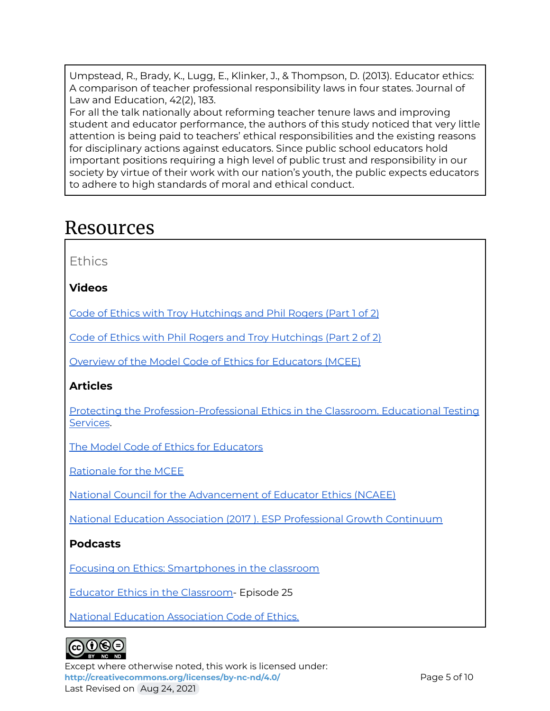Umpstead, R., Brady, K., Lugg, E., Klinker, J., & Thompson, D. (2013). Educator ethics: A comparison of teacher professional responsibility laws in four states. Journal of Law and Education, 42(2), 183.

For all the talk nationally about reforming teacher tenure laws and improving student and educator performance, the authors of this study noticed that very little attention is being paid to teachers' ethical responsibilities and the existing reasons for disciplinary actions against educators. Since public school educators hold important positions requiring a high level of public trust and responsibility in our society by virtue of their work with our nation's youth, the public expects educators to adhere to high standards of moral and ethical conduct.

### Resources

Ethics

**Videos**

Code of Ethics with Troy [Hutchings](https://youtu.be/r8_yld1OfpU) and Phil Rogers (Part 1 of 2)

Code of Ethics with Phil Rogers and Troy [Hutchings](https://youtu.be/gBiv1g_f4m4) (Part 2 of 2)

Overview of the Model Code of Ethics for [Educators](https://vimeo.com/299747017) (MCEE)

### **Articles**

Protecting the [Profession-Professional](https://www.ets.org/s/proethica/pdf/real-clear-articles.pdf) Ethics in the Classroom. Educational Testing [Services](https://www.ets.org/s/proethica/pdf/real-clear-articles.pdf).

The Model Code of Ethics for [Educators](https://www.nasdtec.net/page/MCEE_Doc)

[Rationale](https://www.nasdtec.net/page/MCEE_Rationale) for the MCEE

National Council for the [Advancement](https://www.nasdtec.net/page/NCAEE_Landing) of Educator Ethics (NCAEE)

National Education Association (2017 ). ESP [Professional](http://www.nea.org/assets/docs/ESP_PGC_digital.pdf) Growth Continuum

### **Podcasts**

Focusing on Ethics: [Smartphones](https://www.podbean.com/media/share/pb-ksw6r-aca2db?utm_campaign=w_share_ep&utm_medium=dlink&utm_source=w_share) in the classroom

Educator Ethics in the [Classroom-](https://www.nea.org/professional-excellence/student-engagement/school-me-podcasts) Episode 25

National Education [Association](http://www.nea.org/home/30442.htm) Code of Ethics.

### $_{\rm GC}(i)$ (e) $_{\odot}$

Except where otherwise noted, this work is licensed under: **<http://creativecommons.org/licenses/by-nc-nd/4.0/>** Page 5 of 10 Last Revised on Aug 24, 2021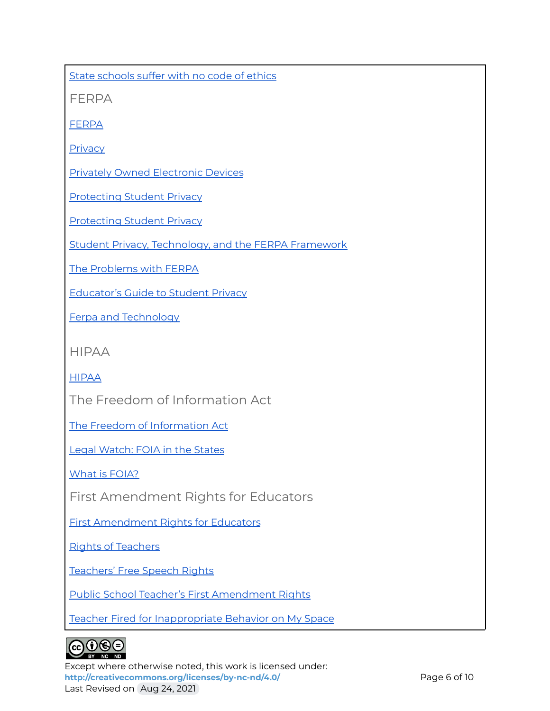State [schools](https://www.postcrescent.com/story/news/education/2016/07/25/code-ethics-missing-wisconsin-schools/79370316/) suffer with no code of ethics

FERPA

[FERPA](https://epic.org/privacy/student/ferpa/)

**[Privacy](https://tech.ed.gov/privacy/)** 

Privately Owned [Electronic](https://www.isba.org/committees/governmentlawyers/newsletter/2012/01/isinformationonprivatelyownedelectr) Devices

[Protecting](https://tech.ed.gov/wp-content/uploads/2014/09/Student-Privacy-and-Online-Educational-Services-February-2014.pdf) Student Privacy

[Protecting](https://studentprivacy.ed.gov/Apps) Student Privacy

Student Privacy, [Technology,](https://cdn-files.nsba.org/s3fs-public/Student_Privacy_Technology_and_FERPA_Klimesh_Styles_0.pdf) and the FERPA Framework

The [Problems](https://thejournal.com/articles/2017/12/05/the-problems-with-ferpa-and-coppa-in-21st-century-learning.aspx) with FERPA

[Educator's](https://ferpasherpa.org/educators/educators-guide-to-student-privacy/) Guide to Student Privacy

Ferpa and [Technology](https://teaching.cornell.edu/resource/ferpa-technology)

HIPAA

[HIPAA](https://searchhealthit.techtarget.com/definition/HIPAA)

The Freedom of Information Act

The Freedom of [Information](https://foia.state.gov/learn/foia.aspx) Act

Legal [Watch:](https://www.acenet.edu/Pages/default.aspx) FOIA in the State[s](https://www.acenet.edu/the-presidency/columns-and-features/Pages/Legal-Watch-0112.aspx)

What is [FOIA?](https://www.foia.gov/about.html)

First Amendment Rights for Educators

First [Amendment](https://ncac.org/resource/first-amendment-in-schools) Rights for Educators

Rights of [Teachers](https://www.mtsu.edu/first-amendment/article/973/rights-of-teachers)

[Teachers'](https://www.aclu-wa.org/docs/free-speech-rights-public-school-teachers-washington-state) Free Speech Rights

Public School Teacher's First [Amendment](https://scholarship.law.edu/cgi/viewcontent.cgi?article=1071&context=lawreview) Rights

Teacher Fired for [Inappropriate](http://mediashift.org/2008/10/teacher-fired-for-inappropriate-behavior-on-myspace-page289/) Behavior on My Space



Except where otherwise noted, this work is licensed under: <http://creativecommons.org/licenses/by-nc-nd/4.0/><br>
Page 6 of 10 Last Revised on Aug 24, 2021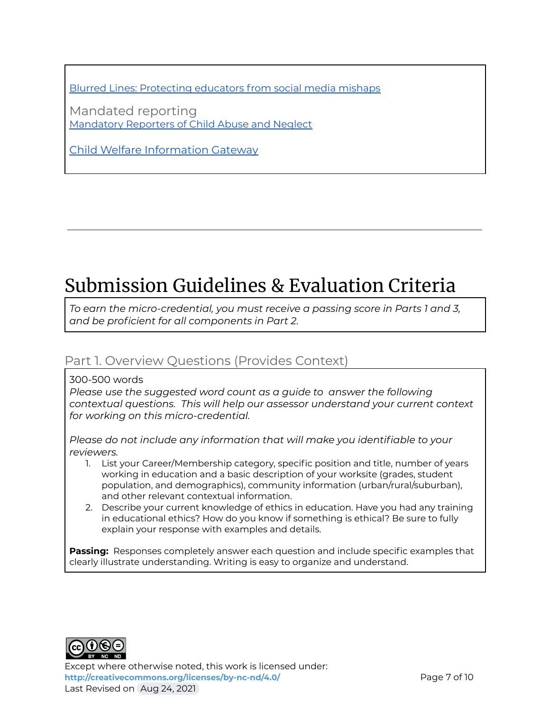Blurred Lines: [Protecting](https://www.podbean.com/media/share/pb-3fyuv-aa9542?utm_campaign=u_share_ep&utm_medium=dlink&utm_source=u_share) educators from social media mishaps

Mandated reporting [Mandatory](https://www.childwelfare.gov/pubPDFs/manda.pdf) Reporters of Child Abuse and Neglect

Child Welfare [Information](https://www.childwelfare.gov/) Gateway

## Submission Guidelines & Evaluation Criteria

*To earn the micro-credential, you must receive a passing score in Parts 1 and 3, and be proficient for all components in Part 2.*

### Part 1. Overview Questions (Provides Context)

300-500 words

*Please use the suggested word count as a guide to answer the following contextual questions. This will help our assessor understand your current context for working on this micro-credential.*

*Please do not include any information that will make you identifiable to your reviewers.*

- 1. List your Career/Membership category, specific position and title, number of years working in education and a basic description of your worksite (grades, student population, and demographics), community information (urban/rural/suburban), and other relevant contextual information.
- 2. Describe your current knowledge of ethics in education. Have you had any training in educational ethics? How do you know if something is ethical? Be sure to fully explain your response with examples and details.

**Passing:** Responses completely answer each question and include specific examples that clearly illustrate understanding. Writing is easy to organize and understand.



Except where otherwise noted, this work is licensed under: <http://creativecommons.org/licenses/by-nc-nd/4.0/><br>
Page 7 of 10 Last Revised on Aug 24, 2021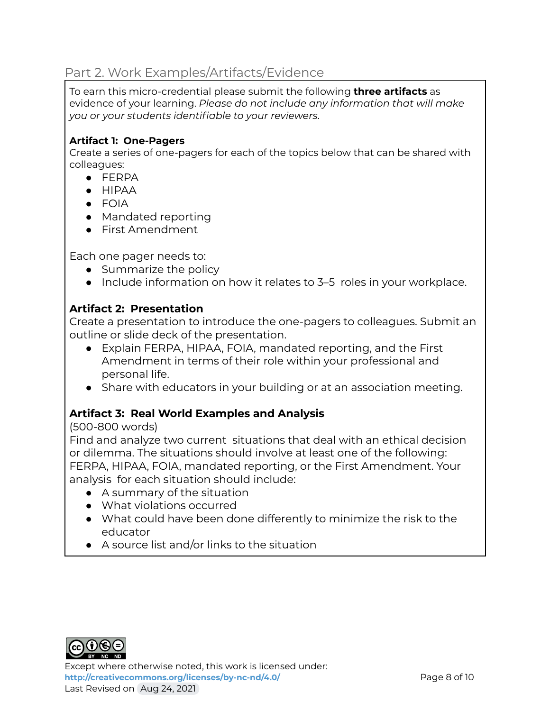### Part 2. Work Examples/Artifacts/Evidence

To earn this micro-credential please submit the following **three artifacts** as evidence of your learning. *Please do not include any information that will make you or your students identifiable to your reviewers*.

#### **Artifact 1: One-Pagers**

Create a series of one-pagers for each of the topics below that can be shared with colleagues:

- FERPA
- HIPAA
- FOIA
- Mandated reporting
- First Amendment

Each one pager needs to:

- Summarize the policy
- Include information on how it relates to 3–5 roles in your workplace.

### **Artifact 2: Presentation**

Create a presentation to introduce the one-pagers to colleagues. Submit an outline or slide deck of the presentation.

- Explain FERPA, HIPAA, FOIA, mandated reporting, and the First Amendment in terms of their role within your professional and personal life.
- Share with educators in your building or at an association meeting.

### **Artifact 3: Real World Examples and Analysis**

### (500-800 words)

Find and analyze two current situations that deal with an ethical decision or dilemma. The situations should involve at least one of the following: FERPA, HIPAA, FOIA, mandated reporting, or the First Amendment. Your analysis for each situation should include:

- A summary of the situation
- What violations occurred
- What could have been done differently to minimize the risk to the educator
- $\bullet$  A source list and/or links to the situation



Except where otherwise noted, this work is licensed under: <http://creativecommons.org/licenses/by-nc-nd/4.0/><br>
Page 8 of 10 Last Revised on Aug 24, 2021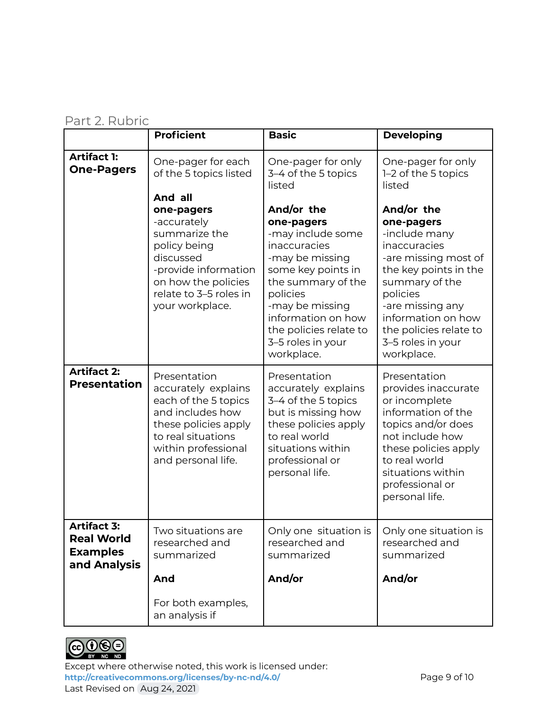### Part 2. Rubric

|                                                                            | <b>Proficient</b>                                                                                                                                                          | <b>Basic</b>                                                                                                                                                                                                                                   | <b>Developing</b>                                                                                                                                                                                                                               |
|----------------------------------------------------------------------------|----------------------------------------------------------------------------------------------------------------------------------------------------------------------------|------------------------------------------------------------------------------------------------------------------------------------------------------------------------------------------------------------------------------------------------|-------------------------------------------------------------------------------------------------------------------------------------------------------------------------------------------------------------------------------------------------|
| <b>Artifact 1:</b><br><b>One-Pagers</b>                                    | One-pager for each<br>of the 5 topics listed<br>And all                                                                                                                    | One-pager for only<br>3-4 of the 5 topics<br>listed                                                                                                                                                                                            | One-pager for only<br>1-2 of the 5 topics<br>listed                                                                                                                                                                                             |
|                                                                            | one-pagers<br>-accurately<br>summarize the<br>policy being<br>discussed<br>-provide information<br>on how the policies<br>relate to 3-5 roles in<br>your workplace.        | And/or the<br>one-pagers<br>-may include some<br>inaccuracies<br>-may be missing<br>some key points in<br>the summary of the<br>policies<br>-may be missing<br>information on how<br>the policies relate to<br>3-5 roles in your<br>workplace. | And/or the<br>one-pagers<br>-include many<br>inaccuracies<br>-are missing most of<br>the key points in the<br>summary of the<br>policies<br>-are missing any<br>information on how<br>the policies relate to<br>3-5 roles in your<br>workplace. |
| <b>Artifact 2:</b><br><b>Presentation</b>                                  | Presentation<br>accurately explains<br>each of the 5 topics<br>and includes how<br>these policies apply<br>to real situations<br>within professional<br>and personal life. | Presentation<br>accurately explains<br>3-4 of the 5 topics<br>but is missing how<br>these policies apply<br>to real world<br>situations within<br>professional or<br>personal life.                                                            | Presentation<br>provides inaccurate<br>or incomplete<br>information of the<br>topics and/or does<br>not include how<br>these policies apply<br>to real world<br>situations within<br>professional or<br>personal life.                          |
| <b>Artifact 3:</b><br><b>Real World</b><br><b>Examples</b><br>and Analysis | Two situations are<br>researched and<br>summarized                                                                                                                         | Only one situation is<br>researched and<br>summarized                                                                                                                                                                                          | Only one situation is<br>researched and<br>summarized                                                                                                                                                                                           |
|                                                                            | And<br>For both examples,                                                                                                                                                  | And/or                                                                                                                                                                                                                                         | And/or                                                                                                                                                                                                                                          |
|                                                                            | an analysis if                                                                                                                                                             |                                                                                                                                                                                                                                                |                                                                                                                                                                                                                                                 |



Except where otherwise noted, this work is licensed under: <http://creativecommons.org/licenses/by-nc-nd/4.0/><br>
Page 9 of 10 Last Revised on Aug 24, 2021